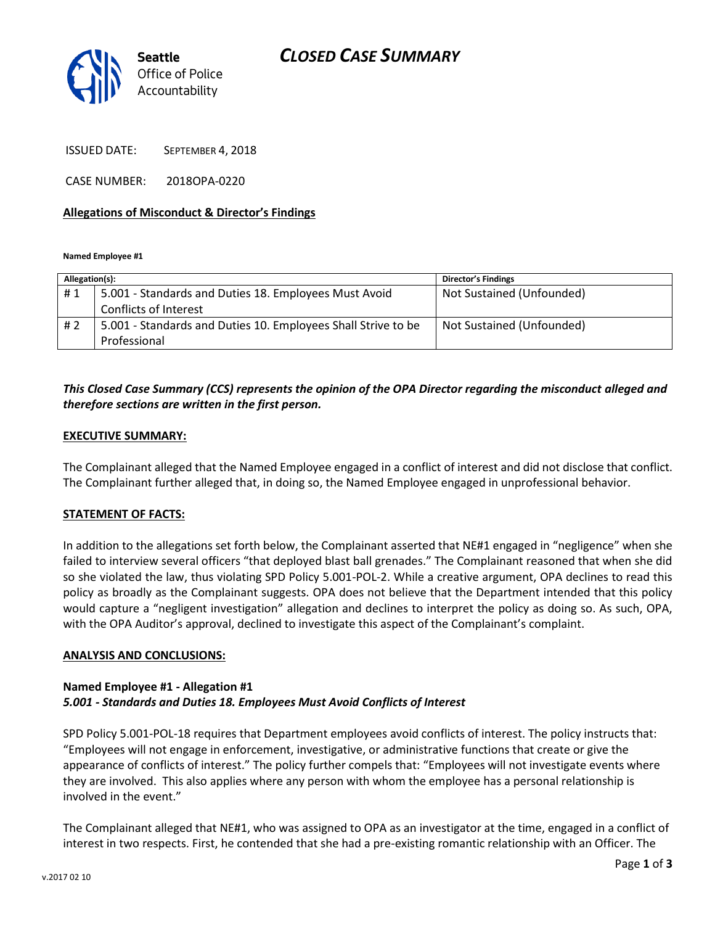# *CLOSED CASE SUMMARY*



ISSUED DATE: SEPTEMBER 4, 2018

CASE NUMBER: 2018OPA-0220

#### **Allegations of Misconduct & Director's Findings**

**Named Employee #1**

| Allegation(s): |                                                               | <b>Director's Findings</b> |
|----------------|---------------------------------------------------------------|----------------------------|
| #1             | 5.001 - Standards and Duties 18. Employees Must Avoid         | Not Sustained (Unfounded)  |
|                | Conflicts of Interest                                         |                            |
| #2             | 5.001 - Standards and Duties 10. Employees Shall Strive to be | Not Sustained (Unfounded)  |
|                | Professional                                                  |                            |

## *This Closed Case Summary (CCS) represents the opinion of the OPA Director regarding the misconduct alleged and therefore sections are written in the first person.*

#### **EXECUTIVE SUMMARY:**

The Complainant alleged that the Named Employee engaged in a conflict of interest and did not disclose that conflict. The Complainant further alleged that, in doing so, the Named Employee engaged in unprofessional behavior.

#### **STATEMENT OF FACTS:**

In addition to the allegations set forth below, the Complainant asserted that NE#1 engaged in "negligence" when she failed to interview several officers "that deployed blast ball grenades." The Complainant reasoned that when she did so she violated the law, thus violating SPD Policy 5.001-POL-2. While a creative argument, OPA declines to read this policy as broadly as the Complainant suggests. OPA does not believe that the Department intended that this policy would capture a "negligent investigation" allegation and declines to interpret the policy as doing so. As such, OPA, with the OPA Auditor's approval, declined to investigate this aspect of the Complainant's complaint.

#### **ANALYSIS AND CONCLUSIONS:**

#### **Named Employee #1 - Allegation #1** *5.001 - Standards and Duties 18. Employees Must Avoid Conflicts of Interest*

SPD Policy 5.001-POL-18 requires that Department employees avoid conflicts of interest. The policy instructs that: "Employees will not engage in enforcement, investigative, or administrative functions that create or give the appearance of conflicts of interest." The policy further compels that: "Employees will not investigate events where they are involved. This also applies where any person with whom the employee has a personal relationship is involved in the event."

The Complainant alleged that NE#1, who was assigned to OPA as an investigator at the time, engaged in a conflict of interest in two respects. First, he contended that she had a pre-existing romantic relationship with an Officer. The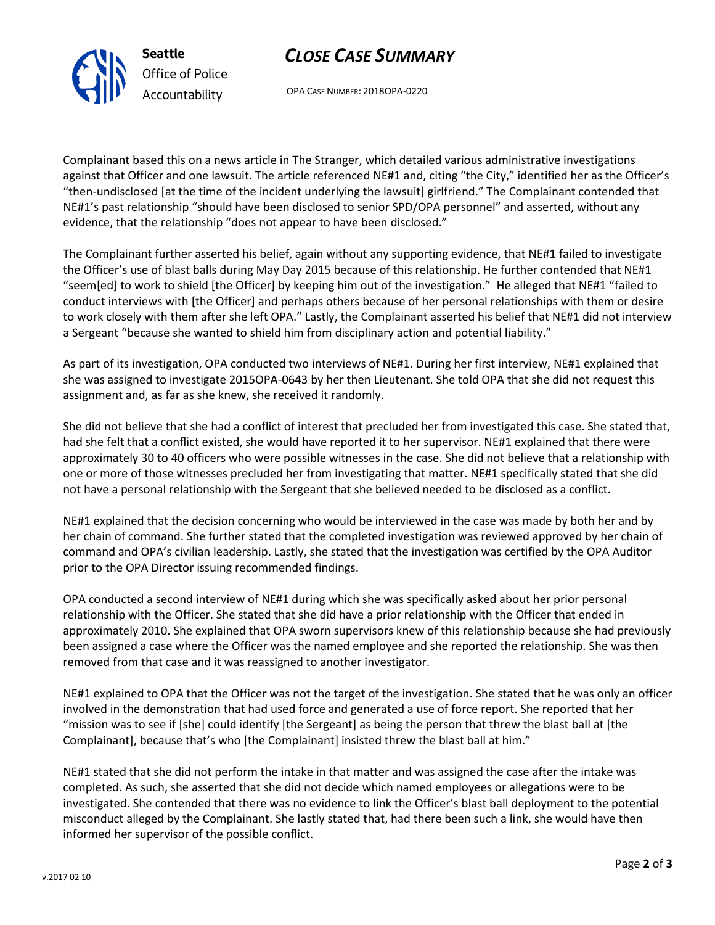# *CLOSE CASE SUMMARY*

OPA CASE NUMBER: 2018OPA-0220

Complainant based this on a news article in The Stranger, which detailed various administrative investigations against that Officer and one lawsuit. The article referenced NE#1 and, citing "the City," identified her as the Officer's "then-undisclosed [at the time of the incident underlying the lawsuit] girlfriend." The Complainant contended that NE#1's past relationship "should have been disclosed to senior SPD/OPA personnel" and asserted, without any evidence, that the relationship "does not appear to have been disclosed."

The Complainant further asserted his belief, again without any supporting evidence, that NE#1 failed to investigate the Officer's use of blast balls during May Day 2015 because of this relationship. He further contended that NE#1 "seem[ed] to work to shield [the Officer] by keeping him out of the investigation." He alleged that NE#1 "failed to conduct interviews with [the Officer] and perhaps others because of her personal relationships with them or desire to work closely with them after she left OPA." Lastly, the Complainant asserted his belief that NE#1 did not interview a Sergeant "because she wanted to shield him from disciplinary action and potential liability."

As part of its investigation, OPA conducted two interviews of NE#1. During her first interview, NE#1 explained that she was assigned to investigate 2015OPA-0643 by her then Lieutenant. She told OPA that she did not request this assignment and, as far as she knew, she received it randomly.

She did not believe that she had a conflict of interest that precluded her from investigated this case. She stated that, had she felt that a conflict existed, she would have reported it to her supervisor. NE#1 explained that there were approximately 30 to 40 officers who were possible witnesses in the case. She did not believe that a relationship with one or more of those witnesses precluded her from investigating that matter. NE#1 specifically stated that she did not have a personal relationship with the Sergeant that she believed needed to be disclosed as a conflict.

NE#1 explained that the decision concerning who would be interviewed in the case was made by both her and by her chain of command. She further stated that the completed investigation was reviewed approved by her chain of command and OPA's civilian leadership. Lastly, she stated that the investigation was certified by the OPA Auditor prior to the OPA Director issuing recommended findings.

OPA conducted a second interview of NE#1 during which she was specifically asked about her prior personal relationship with the Officer. She stated that she did have a prior relationship with the Officer that ended in approximately 2010. She explained that OPA sworn supervisors knew of this relationship because she had previously been assigned a case where the Officer was the named employee and she reported the relationship. She was then removed from that case and it was reassigned to another investigator.

NE#1 explained to OPA that the Officer was not the target of the investigation. She stated that he was only an officer involved in the demonstration that had used force and generated a use of force report. She reported that her "mission was to see if [she] could identify [the Sergeant] as being the person that threw the blast ball at [the Complainant], because that's who [the Complainant] insisted threw the blast ball at him."

NE#1 stated that she did not perform the intake in that matter and was assigned the case after the intake was completed. As such, she asserted that she did not decide which named employees or allegations were to be investigated. She contended that there was no evidence to link the Officer's blast ball deployment to the potential misconduct alleged by the Complainant. She lastly stated that, had there been such a link, she would have then informed her supervisor of the possible conflict.



**Seattle**

*Office of Police Accountability*